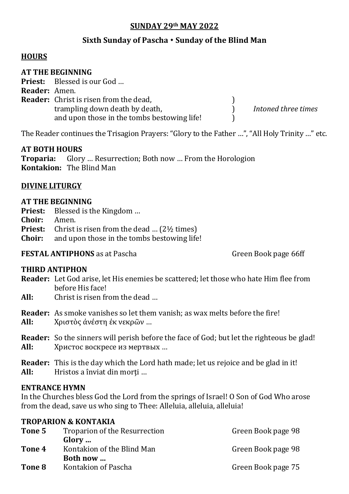## **SUNDAY 29th MAY 2022**

# **Sixth Sunday of Pascha Sunday of the Blind Man**

### **HOURS**

#### **AT THE BEGINNING**

**Priest:** Blessed is our God …

| <b>Reader:</b> Amen. |                                               |                     |
|----------------------|-----------------------------------------------|---------------------|
|                      | <b>Reader:</b> Christ is risen from the dead, |                     |
|                      | trampling down death by death,                | Intoned three times |
|                      | and upon those in the tombs bestowing life!   |                     |

The Reader continues the Trisagion Prayers: "Glory to the Father …", "All Holy Trinity …" etc.

### **AT BOTH HOURS**

**Troparia:** Glory … Resurrection; Both now … From the Horologion **Kontakion:** The Blind Man

### **DIVINE LITURGY**

### **AT THE BEGINNING**

- **Priest:** Blessed is the Kingdom …
- **Choir:** Amen.
- **Priest:** Christ is risen from the dead ... (2<sup>1</sup>/<sub>2</sub> times)
- **Choir:** and upon those in the tombs bestowing life!

**FESTAL ANTIPHONS** as at Pascha Green Book page 66ff

### **THIRD ANTIPHON**

- **Reader:** Let God arise, let His enemies be scattered; let those who hate Him flee from before His face!
- **All:** Christ is risen from the dead …

**Reader:** As smoke vanishes so let them vanish; as wax melts before the fire! **All:** Χριστὸς ἀνέστη ἐκ νεκρῶν …

- **Reader:** So the sinners will perish before the face of God; but let the righteous be glad! **All:** Христос воскресе из мертвых …
- **Reader:** This is the day which the Lord hath made; let us rejoice and be glad in it! All: Hristos a înviat din morti ...

### **ENTRANCE HYMN**

In the Churches bless God the Lord from the springs of Israel! O Son of God Who arose from the dead, save us who sing to Thee: Alleluia, alleluia, alleluia!

#### **TROPARION & KONTAKIA**

| Tone 5 | Troparion of the Resurrection | Green Book page 98 |
|--------|-------------------------------|--------------------|
|        | Glory                         |                    |
| Tone 4 | Kontakion of the Blind Man    | Green Book page 98 |
|        | Both now                      |                    |
| Tone 8 | Kontakion of Pascha           | Green Book page 75 |
|        |                               |                    |